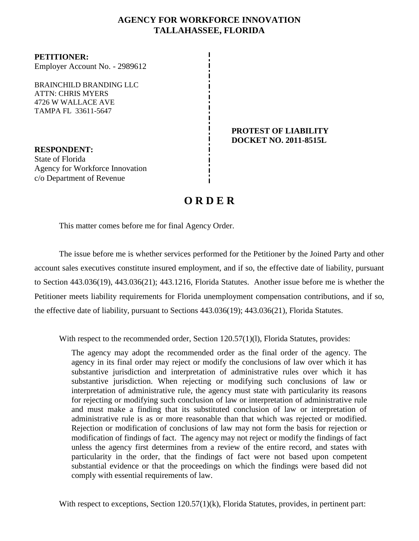# **AGENCY FOR WORKFORCE INNOVATION TALLAHASSEE, FLORIDA**

**PETITIONER:** Employer Account No. - 2989612

BRAINCHILD BRANDING LLC ATTN: CHRIS MYERS 4726 W WALLACE AVE TAMPA FL 33611-5647

**RESPONDENT:** State of Florida Agency for Workforce Innovation c/o Department of Revenue

#### **PROTEST OF LIABILITY DOCKET NO. 2011-8515L**

# **O R D E R**

This matter comes before me for final Agency Order.

The issue before me is whether services performed for the Petitioner by the Joined Party and other account sales executives constitute insured employment, and if so, the effective date of liability, pursuant to Section 443.036(19), 443.036(21); 443.1216, Florida Statutes. Another issue before me is whether the Petitioner meets liability requirements for Florida unemployment compensation contributions, and if so, the effective date of liability, pursuant to Sections 443.036(19); 443.036(21), Florida Statutes.

With respect to the recommended order, Section 120.57(1)(1), Florida Statutes, provides:

The agency may adopt the recommended order as the final order of the agency. The agency in its final order may reject or modify the conclusions of law over which it has substantive jurisdiction and interpretation of administrative rules over which it has substantive jurisdiction. When rejecting or modifying such conclusions of law or interpretation of administrative rule, the agency must state with particularity its reasons for rejecting or modifying such conclusion of law or interpretation of administrative rule and must make a finding that its substituted conclusion of law or interpretation of administrative rule is as or more reasonable than that which was rejected or modified. Rejection or modification of conclusions of law may not form the basis for rejection or modification of findings of fact. The agency may not reject or modify the findings of fact unless the agency first determines from a review of the entire record, and states with particularity in the order, that the findings of fact were not based upon competent substantial evidence or that the proceedings on which the findings were based did not comply with essential requirements of law.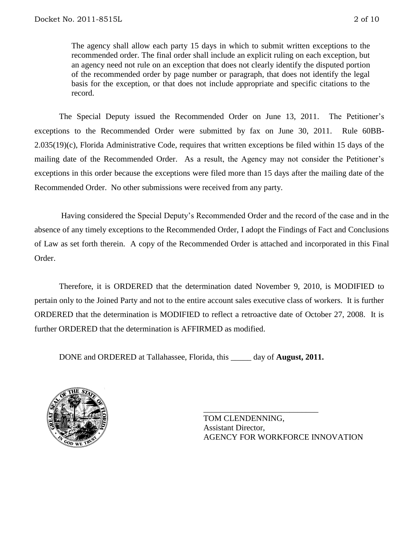The agency shall allow each party 15 days in which to submit written exceptions to the recommended order. The final order shall include an explicit ruling on each exception, but an agency need not rule on an exception that does not clearly identify the disputed portion of the recommended order by page number or paragraph, that does not identify the legal basis for the exception, or that does not include appropriate and specific citations to the record.

The Special Deputy issued the Recommended Order on June 13, 2011.The Petitioner's exceptions to the Recommended Order were submitted by fax on June 30, 2011.Rule 60BB-2.035(19)(c), Florida Administrative Code, requires that written exceptions be filed within 15 days of the mailing date of the Recommended Order.As a result, the Agency may not consider the Petitioner's exceptions in this order because the exceptions were filed more than 15 days after the mailing date of the Recommended Order. No other submissions were received from any party.

Having considered the Special Deputy's Recommended Order and the record of the case and in the absence of any timely exceptions to the Recommended Order, I adopt the Findings of Fact and Conclusions of Law as set forth therein. A copy of the Recommended Order is attached and incorporated in this Final Order.

Therefore, it is ORDERED that the determination dated November 9, 2010, is MODIFIED to pertain only to the Joined Party and not to the entire account sales executive class of workers. It is further ORDERED that the determination is MODIFIED to reflect a retroactive date of October 27, 2008. It is further ORDERED that the determination is AFFIRMED as modified.

DONE and ORDERED at Tallahassee, Florida, this \_\_\_\_\_ day of **August, 2011.**



TOM CLENDENNING, Assistant Director, AGENCY FOR WORKFORCE INNOVATION

\_\_\_\_\_\_\_\_\_\_\_\_\_\_\_\_\_\_\_\_\_\_\_\_\_\_\_\_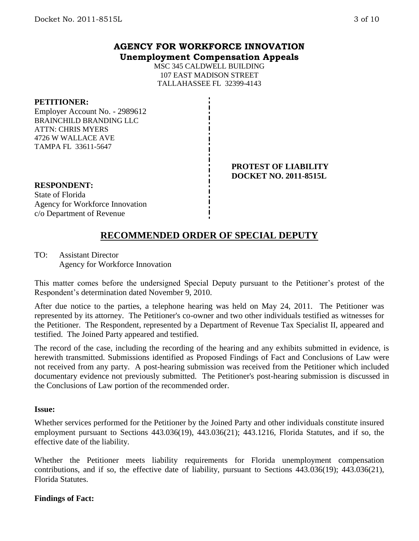## **AGENCY FOR WORKFORCE INNOVATION Unemployment Compensation Appeals**

MSC 345 CALDWELL BUILDING 107 EAST MADISON STREET TALLAHASSEE FL 32399-4143

#### **PETITIONER:**

Employer Account No. - 2989612 BRAINCHILD BRANDING LLC ATTN: CHRIS MYERS 4726 W WALLACE AVE TAMPA FL 33611-5647

#### **PROTEST OF LIABILITY DOCKET NO. 2011-8515L**

# **RESPONDENT:**

State of Florida Agency for Workforce Innovation c/o Department of Revenue

# **RECOMMENDED ORDER OF SPECIAL DEPUTY**

TO: Assistant Director Agency for Workforce Innovation

This matter comes before the undersigned Special Deputy pursuant to the Petitioner's protest of the Respondent's determination dated November 9, 2010.

After due notice to the parties, a telephone hearing was held on May 24, 2011. The Petitioner was represented by its attorney. The Petitioner's co-owner and two other individuals testified as witnesses for the Petitioner. The Respondent, represented by a Department of Revenue Tax Specialist II, appeared and testified. The Joined Party appeared and testified.

The record of the case, including the recording of the hearing and any exhibits submitted in evidence, is herewith transmitted. Submissions identified as Proposed Findings of Fact and Conclusions of Law were not received from any party. A post-hearing submission was received from the Petitioner which included documentary evidence not previously submitted. The Petitioner's post-hearing submission is discussed in the Conclusions of Law portion of the recommended order.

#### **Issue:**

Whether services performed for the Petitioner by the Joined Party and other individuals constitute insured employment pursuant to Sections 443.036(19), 443.036(21); 443.1216, Florida Statutes, and if so, the effective date of the liability.

Whether the Petitioner meets liability requirements for Florida unemployment compensation contributions, and if so, the effective date of liability, pursuant to Sections 443.036(19); 443.036(21), Florida Statutes.

### **Findings of Fact:**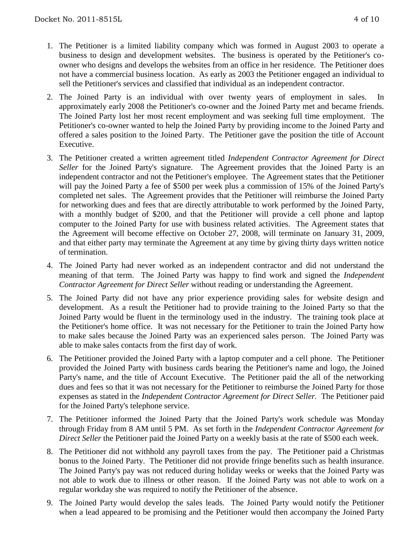- 1. The Petitioner is a limited liability company which was formed in August 2003 to operate a business to design and development websites. The business is operated by the Petitioner's coowner who designs and develops the websites from an office in her residence. The Petitioner does not have a commercial business location. As early as 2003 the Petitioner engaged an individual to sell the Petitioner's services and classified that individual as an independent contractor.
- 2. The Joined Party is an individual with over twenty years of employment in sales. In approximately early 2008 the Petitioner's co-owner and the Joined Party met and became friends. The Joined Party lost her most recent employment and was seeking full time employment. The Petitioner's co-owner wanted to help the Joined Party by providing income to the Joined Party and offered a sales position to the Joined Party. The Petitioner gave the position the title of Account Executive.
- 3. The Petitioner created a written agreement titled *Independent Contractor Agreement for Direct Seller* for the Joined Party's signature. The Agreement provides that the Joined Party is an independent contractor and not the Petitioner's employee. The Agreement states that the Petitioner will pay the Joined Party a fee of \$500 per week plus a commission of 15% of the Joined Party's completed net sales. The Agreement provides that the Petitioner will reimburse the Joined Party for networking dues and fees that are directly attributable to work performed by the Joined Party, with a monthly budget of \$200, and that the Petitioner will provide a cell phone and laptop computer to the Joined Party for use with business related activities. The Agreement states that the Agreement will become effective on October 27, 2008, will terminate on January 31, 2009, and that either party may terminate the Agreement at any time by giving thirty days written notice of termination.
- 4. The Joined Party had never worked as an independent contractor and did not understand the meaning of that term. The Joined Party was happy to find work and signed the *Independent Contractor Agreement for Direct Seller* without reading or understanding the Agreement.
- 5. The Joined Party did not have any prior experience providing sales for website design and development. As a result the Petitioner had to provide training to the Joined Party so that the Joined Party would be fluent in the terminology used in the industry. The training took place at the Petitioner's home office. It was not necessary for the Petitioner to train the Joined Party how to make sales because the Joined Party was an experienced sales person. The Joined Party was able to make sales contacts from the first day of work.
- 6. The Petitioner provided the Joined Party with a laptop computer and a cell phone. The Petitioner provided the Joined Party with business cards bearing the Petitioner's name and logo, the Joined Party's name, and the title of Account Executive. The Petitioner paid the all of the networking dues and fees so that it was not necessary for the Petitioner to reimburse the Joined Party for those expenses as stated in the *Independent Contractor Agreement for Direct Seller.* The Petitioner paid for the Joined Party's telephone service.
- 7. The Petitioner informed the Joined Party that the Joined Party's work schedule was Monday through Friday from 8 AM until 5 PM. As set forth in the *Independent Contractor Agreement for Direct Seller* the Petitioner paid the Joined Party on a weekly basis at the rate of \$500 each week.
- 8. The Petitioner did not withhold any payroll taxes from the pay. The Petitioner paid a Christmas bonus to the Joined Party. The Petitioner did not provide fringe benefits such as health insurance. The Joined Party's pay was not reduced during holiday weeks or weeks that the Joined Party was not able to work due to illness or other reason. If the Joined Party was not able to work on a regular workday she was required to notify the Petitioner of the absence.
- 9. The Joined Party would develop the sales leads. The Joined Party would notify the Petitioner when a lead appeared to be promising and the Petitioner would then accompany the Joined Party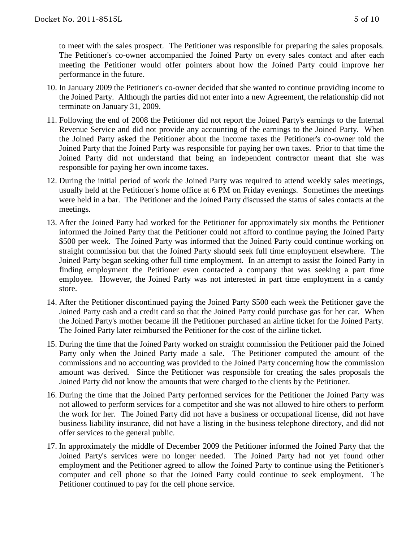to meet with the sales prospect. The Petitioner was responsible for preparing the sales proposals. The Petitioner's co-owner accompanied the Joined Party on every sales contact and after each meeting the Petitioner would offer pointers about how the Joined Party could improve her performance in the future.

- 10. In January 2009 the Petitioner's co-owner decided that she wanted to continue providing income to the Joined Party. Although the parties did not enter into a new Agreement, the relationship did not terminate on January 31, 2009.
- 11. Following the end of 2008 the Petitioner did not report the Joined Party's earnings to the Internal Revenue Service and did not provide any accounting of the earnings to the Joined Party. When the Joined Party asked the Petitioner about the income taxes the Petitioner's co-owner told the Joined Party that the Joined Party was responsible for paying her own taxes. Prior to that time the Joined Party did not understand that being an independent contractor meant that she was responsible for paying her own income taxes.
- 12. During the initial period of work the Joined Party was required to attend weekly sales meetings, usually held at the Petitioner's home office at 6 PM on Friday evenings. Sometimes the meetings were held in a bar. The Petitioner and the Joined Party discussed the status of sales contacts at the meetings.
- 13. After the Joined Party had worked for the Petitioner for approximately six months the Petitioner informed the Joined Party that the Petitioner could not afford to continue paying the Joined Party \$500 per week. The Joined Party was informed that the Joined Party could continue working on straight commission but that the Joined Party should seek full time employment elsewhere. The Joined Party began seeking other full time employment. In an attempt to assist the Joined Party in finding employment the Petitioner even contacted a company that was seeking a part time employee. However, the Joined Party was not interested in part time employment in a candy store.
- 14. After the Petitioner discontinued paying the Joined Party \$500 each week the Petitioner gave the Joined Party cash and a credit card so that the Joined Party could purchase gas for her car. When the Joined Party's mother became ill the Petitioner purchased an airline ticket for the Joined Party. The Joined Party later reimbursed the Petitioner for the cost of the airline ticket.
- 15. During the time that the Joined Party worked on straight commission the Petitioner paid the Joined Party only when the Joined Party made a sale. The Petitioner computed the amount of the commissions and no accounting was provided to the Joined Party concerning how the commission amount was derived. Since the Petitioner was responsible for creating the sales proposals the Joined Party did not know the amounts that were charged to the clients by the Petitioner.
- 16. During the time that the Joined Party performed services for the Petitioner the Joined Party was not allowed to perform services for a competitor and she was not allowed to hire others to perform the work for her. The Joined Party did not have a business or occupational license, did not have business liability insurance, did not have a listing in the business telephone directory, and did not offer services to the general public.
- 17. In approximately the middle of December 2009 the Petitioner informed the Joined Party that the Joined Party's services were no longer needed. The Joined Party had not yet found other employment and the Petitioner agreed to allow the Joined Party to continue using the Petitioner's computer and cell phone so that the Joined Party could continue to seek employment. The Petitioner continued to pay for the cell phone service.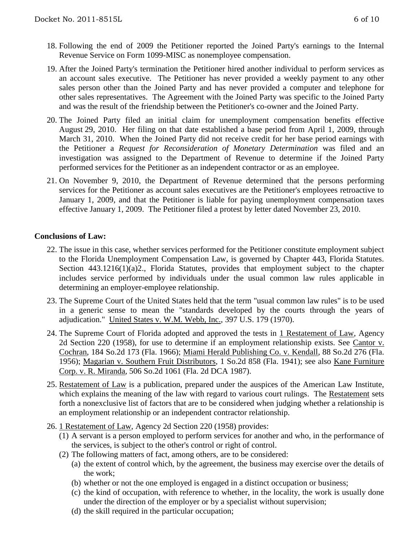- 18. Following the end of 2009 the Petitioner reported the Joined Party's earnings to the Internal Revenue Service on Form 1099-MISC as nonemployee compensation.
- 19. After the Joined Party's termination the Petitioner hired another individual to perform services as an account sales executive. The Petitioner has never provided a weekly payment to any other sales person other than the Joined Party and has never provided a computer and telephone for other sales representatives. The Agreement with the Joined Party was specific to the Joined Party and was the result of the friendship between the Petitioner's co-owner and the Joined Party.
- 20. The Joined Party filed an initial claim for unemployment compensation benefits effective August 29, 2010. Her filing on that date established a base period from April 1, 2009, through March 31, 2010. When the Joined Party did not receive credit for her base period earnings with the Petitioner a *Request for Reconsideration of Monetary Determination* was filed and an investigation was assigned to the Department of Revenue to determine if the Joined Party performed services for the Petitioner as an independent contractor or as an employee.
- 21. On November 9, 2010, the Department of Revenue determined that the persons performing services for the Petitioner as account sales executives are the Petitioner's employees retroactive to January 1, 2009, and that the Petitioner is liable for paying unemployment compensation taxes effective January 1, 2009. The Petitioner filed a protest by letter dated November 23, 2010.

### **Conclusions of Law:**

- 22. The issue in this case, whether services performed for the Petitioner constitute employment subject to the Florida Unemployment Compensation Law, is governed by Chapter 443, Florida Statutes. Section 443.1216(1)(a)2., Florida Statutes, provides that employment subject to the chapter includes service performed by individuals under the usual common law rules applicable in determining an employer-employee relationship.
- 23. The Supreme Court of the United States held that the term "usual common law rules" is to be used in a generic sense to mean the "standards developed by the courts through the years of adjudication." United States v. W.M. Webb, Inc., 397 U.S. 179 (1970).
- 24. The Supreme Court of Florida adopted and approved the tests in 1 Restatement of Law, Agency 2d Section 220 (1958), for use to determine if an employment relationship exists. See Cantor v. Cochran, 184 So.2d 173 (Fla. 1966); Miami Herald Publishing Co. v. Kendall, 88 So.2d 276 (Fla. 1956); Magarian v. Southern Fruit Distributors, 1 So.2d 858 (Fla. 1941); see also Kane Furniture Corp. v. R. Miranda, 506 So.2d 1061 (Fla. 2d DCA 1987).
- 25. Restatement of Law is a publication, prepared under the auspices of the American Law Institute, which explains the meaning of the law with regard to various court rulings. The Restatement sets forth a nonexclusive list of factors that are to be considered when judging whether a relationship is an employment relationship or an independent contractor relationship.
- 26. 1 Restatement of Law, Agency 2d Section 220 (1958) provides:
	- (1) A servant is a person employed to perform services for another and who, in the performance of the services, is subject to the other's control or right of control.
	- (2) The following matters of fact, among others, are to be considered:
		- (a) the extent of control which, by the agreement, the business may exercise over the details of the work;
		- (b) whether or not the one employed is engaged in a distinct occupation or business;
		- (c) the kind of occupation, with reference to whether, in the locality, the work is usually done under the direction of the employer or by a specialist without supervision;
		- (d) the skill required in the particular occupation;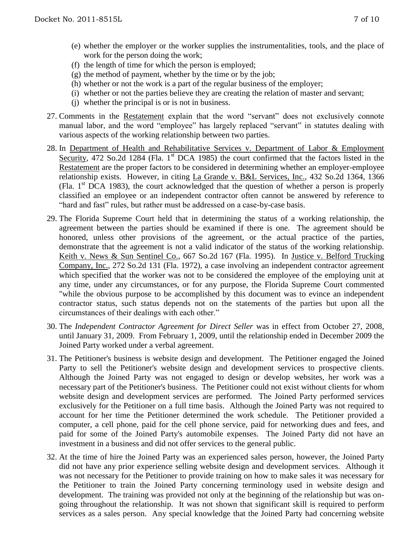- (e) whether the employer or the worker supplies the instrumentalities, tools, and the place of work for the person doing the work;
- (f) the length of time for which the person is employed;
- $(g)$  the method of payment, whether by the time or by the job;
- (h) whether or not the work is a part of the regular business of the employer;
- (i) whether or not the parties believe they are creating the relation of master and servant;
- (j) whether the principal is or is not in business.
- 27. Comments in the Restatement explain that the word "servant" does not exclusively connote manual labor, and the word "employee" has largely replaced "servant" in statutes dealing with various aspects of the working relationship between two parties.
- 28. In Department of Health and Rehabilitative Services v. Department of Labor & Employment Security, 472 So.2d 1284 (Fla. 1<sup>st</sup> DCA 1985) the court confirmed that the factors listed in the Restatement are the proper factors to be considered in determining whether an employer-employee relationship exists. However, in citing La Grande v. B&L Services, Inc., 432 So.2d 1364, 1366 (Fla.  $1<sup>st</sup>$  DCA 1983), the court acknowledged that the question of whether a person is properly classified an employee or an independent contractor often cannot be answered by reference to "hard and fast" rules, but rather must be addressed on a case-by-case basis.
- 29. The Florida Supreme Court held that in determining the status of a working relationship, the agreement between the parties should be examined if there is one. The agreement should be honored, unless other provisions of the agreement, or the actual practice of the parties, demonstrate that the agreement is not a valid indicator of the status of the working relationship. Keith v. News & Sun Sentinel Co., 667 So.2d 167 (Fla. 1995). In Justice v. Belford Trucking Company, Inc., 272 So.2d 131 (Fla. 1972), a case involving an independent contractor agreement which specified that the worker was not to be considered the employee of the employing unit at any time, under any circumstances, or for any purpose, the Florida Supreme Court commented "while the obvious purpose to be accomplished by this document was to evince an independent contractor status, such status depends not on the statements of the parties but upon all the circumstances of their dealings with each other."
- 30. The *Independent Contractor Agreement for Direct Seller* was in effect from October 27, 2008, until January 31, 2009. From February 1, 2009, until the relationship ended in December 2009 the Joined Party worked under a verbal agreement.
- 31. The Petitioner's business is website design and development. The Petitioner engaged the Joined Party to sell the Petitioner's website design and development services to prospective clients. Although the Joined Party was not engaged to design or develop websites, her work was a necessary part of the Petitioner's business. The Petitioner could not exist without clients for whom website design and development services are performed. The Joined Party performed services exclusively for the Petitioner on a full time basis. Although the Joined Party was not required to account for her time the Petitioner determined the work schedule. The Petitioner provided a computer, a cell phone, paid for the cell phone service, paid for networking dues and fees, and paid for some of the Joined Party's automobile expenses. The Joined Party did not have an investment in a business and did not offer services to the general public.
- 32. At the time of hire the Joined Party was an experienced sales person, however, the Joined Party did not have any prior experience selling website design and development services. Although it was not necessary for the Petitioner to provide training on how to make sales it was necessary for the Petitioner to train the Joined Party concerning terminology used in website design and development. The training was provided not only at the beginning of the relationship but was ongoing throughout the relationship. It was not shown that significant skill is required to perform services as a sales person. Any special knowledge that the Joined Party had concerning website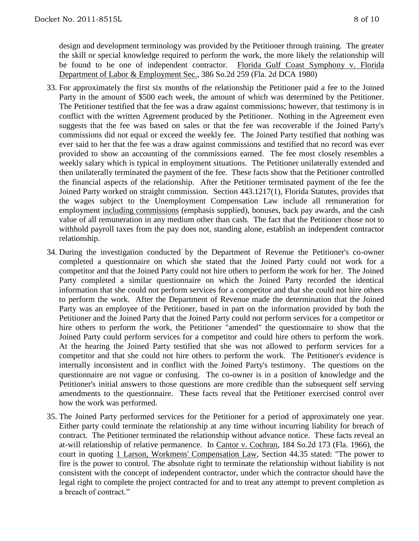design and development terminology was provided by the Petitioner through training. The greater the skill or special knowledge required to perform the work, the more likely the relationship will be found to be one of independent contractor. Florida Gulf Coast Symphony v. Florida Department of Labor & Employment Sec., 386 So.2d 259 (Fla. 2d DCA 1980)

- 33. For approximately the first six months of the relationship the Petitioner paid a fee to the Joined Party in the amount of \$500 each week, the amount of which was determined by the Petitioner. The Petitioner testified that the fee was a draw against commissions; however, that testimony is in conflict with the written Agreement produced by the Petitioner. Nothing in the Agreement even suggests that the fee was based on sales or that the fee was recoverable if the Joined Party's commissions did not equal or exceed the weekly fee. The Joined Party testified that nothing was ever said to her that the fee was a draw against commissions and testified that no record was ever provided to show an accounting of the commissions earned. The fee most closely resembles a weekly salary which is typical in employment situations. The Petitioner unilaterally extended and then unilaterally terminated the payment of the fee. These facts show that the Petitioner controlled the financial aspects of the relationship. After the Petitioner terminated payment of the fee the Joined Party worked on straight commission. Section 443.1217(1), Florida Statutes, provides that the wages subject to the Unemployment Compensation Law include all remuneration for employment including commissions (emphasis supplied), bonuses, back pay awards, and the cash value of all remuneration in any medium other than cash. The fact that the Petitioner chose not to withhold payroll taxes from the pay does not, standing alone, establish an independent contractor relationship.
- 34. During the investigation conducted by the Department of Revenue the Petitioner's co-owner completed a questionnaire on which she stated that the Joined Party could not work for a competitor and that the Joined Party could not hire others to perform the work for her. The Joined Party completed a similar questionnaire on which the Joined Party recorded the identical information that she could not perform services for a competitor and that she could not hire others to perform the work. After the Department of Revenue made the determination that the Joined Party was an employee of the Petitioner, based in part on the information provided by both the Petitioner and the Joined Party that the Joined Party could not perform services for a competitor or hire others to perform the work, the Petitioner "amended" the questionnaire to show that the Joined Party could perform services for a competitor and could hire others to perform the work. At the hearing the Joined Party testified that she was not allowed to perform services for a competitor and that she could not hire others to perform the work. The Petitioner's evidence is internally inconsistent and in conflict with the Joined Party's testimony. The questions on the questionnaire are not vague or confusing. The co-owner is in a position of knowledge and the Petitioner's initial answers to those questions are more credible than the subsequent self serving amendments to the questionnaire. These facts reveal that the Petitioner exercised control over how the work was performed.
- 35. The Joined Party performed services for the Petitioner for a period of approximately one year. Either party could terminate the relationship at any time without incurring liability for breach of contract. The Petitioner terminated the relationship without advance notice. These facts reveal an at-will relationship of relative permanence. In Cantor v. Cochran, 184 So.2d 173 (Fla. 1966), the court in quoting 1 Larson, Workmens' Compensation Law, Section 44.35 stated: "The power to fire is the power to control. The absolute right to terminate the relationship without liability is not consistent with the concept of independent contractor, under which the contractor should have the legal right to complete the project contracted for and to treat any attempt to prevent completion as a breach of contract."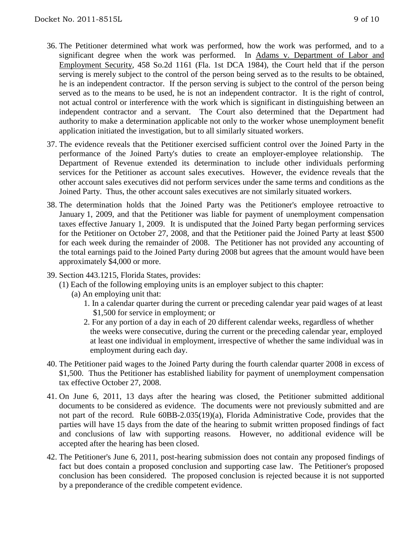- 36. The Petitioner determined what work was performed, how the work was performed, and to a significant degree when the work was performed. In Adams v. Department of Labor and Employment Security, 458 So.2d 1161 (Fla. 1st DCA 1984), the Court held that if the person serving is merely subject to the control of the person being served as to the results to be obtained, he is an independent contractor. If the person serving is subject to the control of the person being served as to the means to be used, he is not an independent contractor. It is the right of control, not actual control or interference with the work which is significant in distinguishing between an independent contractor and a servant. The Court also determined that the Department had authority to make a determination applicable not only to the worker whose unemployment benefit application initiated the investigation, but to all similarly situated workers.
- 37. The evidence reveals that the Petitioner exercised sufficient control over the Joined Party in the performance of the Joined Party's duties to create an employer-employee relationship. The Department of Revenue extended its determination to include other individuals performing services for the Petitioner as account sales executives. However, the evidence reveals that the other account sales executives did not perform services under the same terms and conditions as the Joined Party. Thus, the other account sales executives are not similarly situated workers.
- 38. The determination holds that the Joined Party was the Petitioner's employee retroactive to January 1, 2009, and that the Petitioner was liable for payment of unemployment compensation taxes effective January 1, 2009. It is undisputed that the Joined Party began performing services for the Petitioner on October 27, 2008, and that the Petitioner paid the Joined Party at least \$500 for each week during the remainder of 2008. The Petitioner has not provided any accounting of the total earnings paid to the Joined Party during 2008 but agrees that the amount would have been approximately \$4,000 or more.
- 39. Section 443.1215, Florida States, provides:
	- (1) Each of the following employing units is an employer subject to this chapter:
		- (a) An employing unit that:
			- 1. In a calendar quarter during the current or preceding calendar year paid wages of at least \$1,500 for service in employment; or
			- 2. For any portion of a day in each of 20 different calendar weeks, regardless of whether the weeks were consecutive, during the current or the preceding calendar year, employed at least one individual in employment, irrespective of whether the same individual was in employment during each day.
- 40. The Petitioner paid wages to the Joined Party during the fourth calendar quarter 2008 in excess of \$1,500. Thus the Petitioner has established liability for payment of unemployment compensation tax effective October 27, 2008.
- 41. On June 6, 2011, 13 days after the hearing was closed, the Petitioner submitted additional documents to be considered as evidence. The documents were not previously submitted and are not part of the record. Rule 60BB-2.035(19)(a), Florida Administrative Code, provides that the parties will have 15 days from the date of the hearing to submit written proposed findings of fact and conclusions of law with supporting reasons. However, no additional evidence will be accepted after the hearing has been closed.
- 42. The Petitioner's June 6, 2011, post-hearing submission does not contain any proposed findings of fact but does contain a proposed conclusion and supporting case law. The Petitioner's proposed conclusion has been considered. The proposed conclusion is rejected because it is not supported by a preponderance of the credible competent evidence.